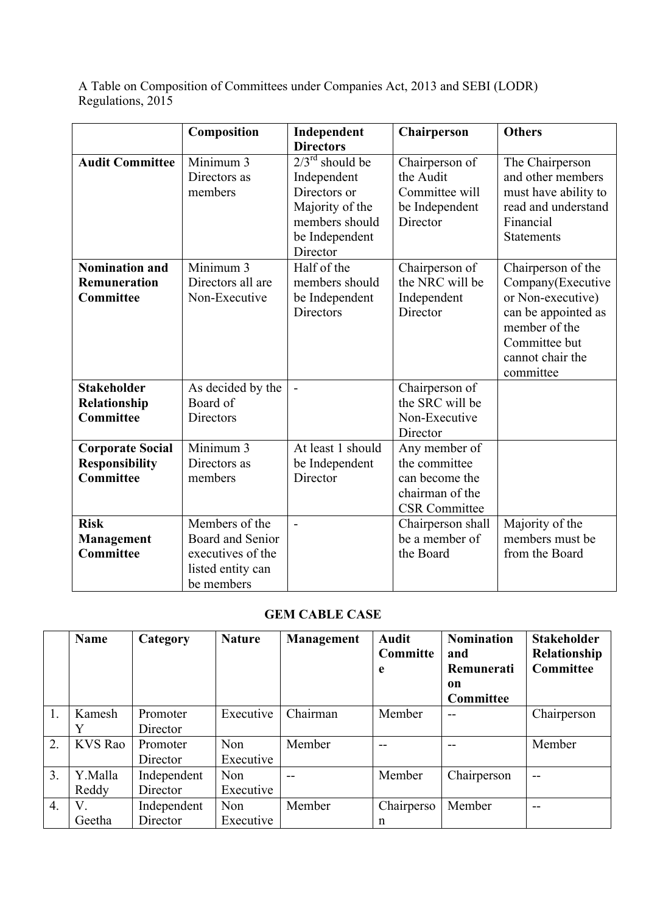A Table on Composition of Committees under Companies Act, 2013 and SEBI (LODR) Regulations, 2015

|                                                                      | Composition                                                                                | Independent                                                                                                            | Chairperson                                                                                 | <b>Others</b>                                                                                                                                          |
|----------------------------------------------------------------------|--------------------------------------------------------------------------------------------|------------------------------------------------------------------------------------------------------------------------|---------------------------------------------------------------------------------------------|--------------------------------------------------------------------------------------------------------------------------------------------------------|
|                                                                      |                                                                                            | <b>Directors</b>                                                                                                       |                                                                                             |                                                                                                                                                        |
| <b>Audit Committee</b>                                               | Minimum 3<br>Directors as<br>members                                                       | $2/3^{rd}$ should be<br>Independent<br>Directors or<br>Majority of the<br>members should<br>be Independent<br>Director | Chairperson of<br>the Audit<br>Committee will<br>be Independent<br>Director                 | The Chairperson<br>and other members<br>must have ability to<br>read and understand<br>Financial<br><b>Statements</b>                                  |
| <b>Nomination and</b><br><b>Remuneration</b><br><b>Committee</b>     | Minimum 3<br>Directors all are<br>Non-Executive                                            | Half of the<br>members should<br>be Independent<br>Directors                                                           | Chairperson of<br>the NRC will be<br>Independent<br>Director                                | Chairperson of the<br>Company(Executive<br>or Non-executive)<br>can be appointed as<br>member of the<br>Committee but<br>cannot chair the<br>committee |
| <b>Stakeholder</b><br>Relationship<br><b>Committee</b>               | As decided by the<br>Board of<br><b>Directors</b>                                          |                                                                                                                        | Chairperson of<br>the SRC will be<br>Non-Executive<br>Director                              |                                                                                                                                                        |
| <b>Corporate Social</b><br><b>Responsibility</b><br><b>Committee</b> | Minimum 3<br>Directors as<br>members                                                       | At least 1 should<br>be Independent<br>Director                                                                        | Any member of<br>the committee<br>can become the<br>chairman of the<br><b>CSR</b> Committee |                                                                                                                                                        |
| <b>Risk</b><br>Management<br><b>Committee</b>                        | Members of the<br>Board and Senior<br>executives of the<br>listed entity can<br>be members | $\sim$                                                                                                                 | Chairperson shall<br>be a member of<br>the Board                                            | Majority of the<br>members must be<br>from the Board                                                                                                   |

# **GEM CABLE CASE**

|                  | <b>Name</b>    | Category    | <b>Nature</b> | <b>Management</b> | <b>Audit</b><br>Committe<br>e | <b>Nomination</b><br>and<br>Remunerati<br>on<br>Committee | <b>Stakeholder</b><br>Relationship<br><b>Committee</b> |
|------------------|----------------|-------------|---------------|-------------------|-------------------------------|-----------------------------------------------------------|--------------------------------------------------------|
| 1.               | Kamesh         | Promoter    | Executive     | Chairman          | Member                        |                                                           | Chairperson                                            |
|                  | Y              | Director    |               |                   |                               |                                                           |                                                        |
| 2.               | <b>KVS Rao</b> | Promoter    | Non           | Member            | --                            |                                                           | Member                                                 |
|                  |                | Director    | Executive     |                   |                               |                                                           |                                                        |
| $\overline{3}$ . | Y.Malla        | Independent | Non           | $-$               | Member                        | Chairperson                                               | --                                                     |
|                  | Reddy          | Director    | Executive     |                   |                               |                                                           |                                                        |
| $\overline{4}$ . | V              | Independent | Non           | Member            | Chairperso                    | Member                                                    |                                                        |
|                  | Geetha         | Director    | Executive     |                   | n                             |                                                           |                                                        |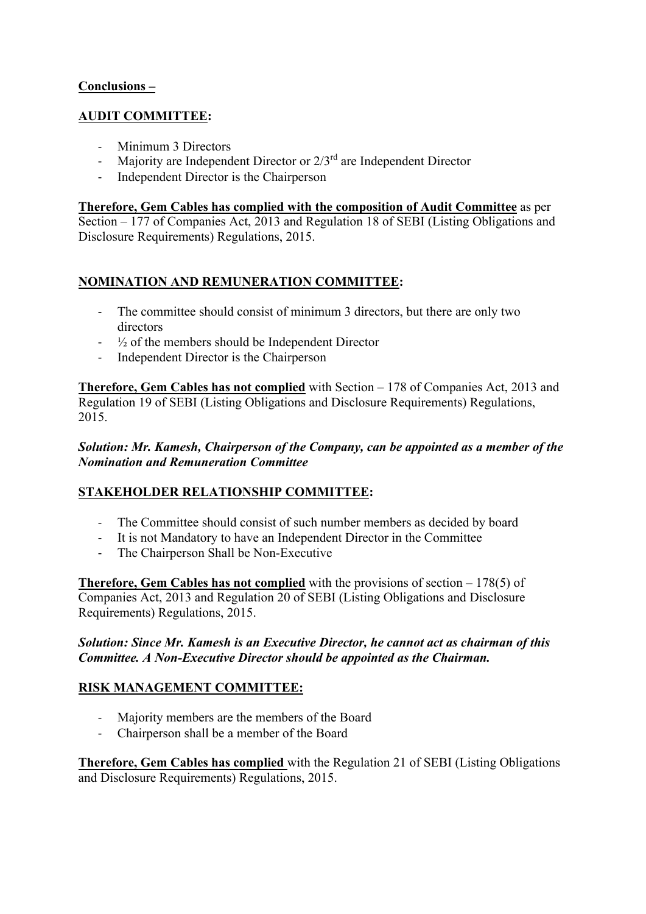### **Conclusions –**

### **AUDIT COMMITTEE:**

- Minimum 3 Directors
- Majority are Independent Director or  $2/3<sup>rd</sup>$  are Independent Director
- Independent Director is the Chairperson

### **Therefore, Gem Cables has complied with the composition of Audit Committee** as per

Section – 177 of Companies Act, 2013 and Regulation 18 of SEBI (Listing Obligations and Disclosure Requirements) Regulations, 2015.

# **NOMINATION AND REMUNERATION COMMITTEE:**

- The committee should consist of minimum 3 directors, but there are only two directors
- $\frac{1}{2}$  of the members should be Independent Director
- Independent Director is the Chairperson

**Therefore, Gem Cables has not complied** with Section – 178 of Companies Act, 2013 and Regulation 19 of SEBI (Listing Obligations and Disclosure Requirements) Regulations, 2015.

### *Solution: Mr. Kamesh, Chairperson of the Company, can be appointed as a member of the Nomination and Remuneration Committee*

### **STAKEHOLDER RELATIONSHIP COMMITTEE:**

- The Committee should consist of such number members as decided by board
- It is not Mandatory to have an Independent Director in the Committee
- The Chairperson Shall be Non-Executive

**Therefore, Gem Cables has not complied** with the provisions of section – 178(5) of Companies Act, 2013 and Regulation 20 of SEBI (Listing Obligations and Disclosure Requirements) Regulations, 2015.

#### *Solution: Since Mr. Kamesh is an Executive Director, he cannot act as chairman of this Committee. A Non-Executive Director should be appointed as the Chairman.*

### **RISK MANAGEMENT COMMITTEE:**

- Majority members are the members of the Board
- Chairperson shall be a member of the Board

**Therefore, Gem Cables has complied** with the Regulation 21 of SEBI (Listing Obligations and Disclosure Requirements) Regulations, 2015.